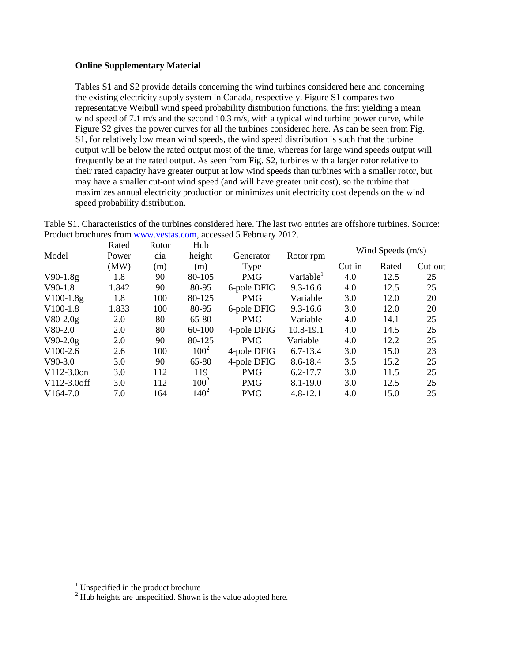### **Online Supplementary Material**

Tables S1 and S2 provide details concerning the wind turbines considered here and concerning the existing electricity supply system in Canada, respectively. Figure S1 compares two representative Weibull wind speed probability distribution functions, the first yielding a mean wind speed of 7.1 m/s and the second 10.3 m/s, with a typical wind turbine power curve, while Figure S2 gives the power curves for all the turbines considered here. As can be seen from Fig. S1, for relatively low mean wind speeds, the wind speed distribution is such that the turbine output will be below the rated output most of the time, whereas for large wind speeds output will frequently be at the rated output. As seen from Fig. S2, turbines with a larger rotor relative to their rated capacity have greater output at low wind speeds than turbines with a smaller rotor, but may have a smaller cut-out wind speed (and will have greater unit cost), so the turbine that maximizes annual electricity production or minimizes unit electricity cost depends on the wind speed probability distribution.

Table S1. Characteristics of the turbines considered here. The last two entries are offshore turbines. Source: Product brochures from [www.vestas.com,](http://www.vestas.com/) accessed 5 February 2012.

|                | Rated | Rotor | Hub     |             |                       |          | Wind Speeds $(m/s)$ |         |
|----------------|-------|-------|---------|-------------|-----------------------|----------|---------------------|---------|
| Model          | Power | dia   | height  | Generator   | Rotor rpm             |          |                     |         |
|                | (MW)  | (m)   | (m)     | Type        |                       | $Cut-in$ | Rated               | Cut-out |
| $V90-1.8g$     | 1.8   | 90    | 80-105  | <b>PMG</b>  | Variable <sup>1</sup> | 4.0      | 12.5                | 25      |
| $V90-1.8$      | 1.842 | 90    | 80-95   | 6-pole DFIG | $9.3 - 16.6$          | 4.0      | 12.5                | 25      |
| $V100-1.8g$    | 1.8   | 100   | 80-125  | <b>PMG</b>  | Variable              | 3.0      | 12.0                | 20      |
| $V100-1.8$     | 1.833 | 100   | 80-95   | 6-pole DFIG | $9.3 - 16.6$          | 3.0      | 12.0                | 20      |
| $V80-2.0g$     | 2.0   | 80    | 65-80   | <b>PMG</b>  | Variable              | 4.0      | 14.1                | 25      |
| $V80-2.0$      | 2.0   | 80    | 60-100  | 4-pole DFIG | 10.8-19.1             | 4.0      | 14.5                | 25      |
| $V90-2.0g$     | 2.0   | 90    | 80-125  | <b>PMG</b>  | Variable              | 4.0      | 12.2                | 25      |
| $V100-2.6$     | 2.6   | 100   | $100^2$ | 4-pole DFIG | $6.7 - 13.4$          | 3.0      | 15.0                | 23      |
| $V90-3.0$      | 3.0   | 90    | 65-80   | 4-pole DFIG | $8.6 - 18.4$          | 3.5      | 15.2                | 25      |
| $V112-3.0$ on  | 3.0   | 112   | 119     | <b>PMG</b>  | $6.2 - 17.7$          | 3.0      | 11.5                | 25      |
| $V112-3.0$ off | 3.0   | 112   | $100^2$ | <b>PMG</b>  | $8.1 - 19.0$          | 3.0      | 12.5                | 25      |
| $V164-7.0$     | 7.0   | 164   | $140^2$ | <b>PMG</b>  | $4.8 - 12.1$          | 4.0      | 15.0                | 25      |

 $\overline{a}$ 

 $1$  Unspecified in the product brochure

 $2$  Hub heights are unspecified. Shown is the value adopted here.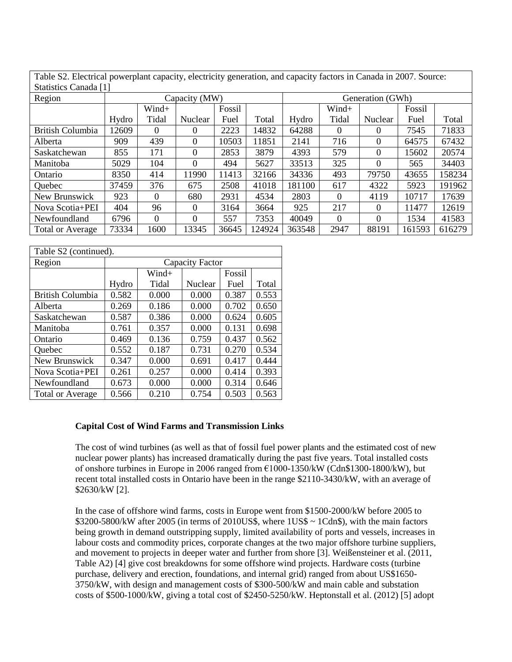Table S2. Electrical powerplant capacity, electricity generation, and capacity factors in Canada in 2007. Source: Statistics Canada [1]

| Statistics Caliada   I  |               |          |                |        |        |                  |          |          |        |        |
|-------------------------|---------------|----------|----------------|--------|--------|------------------|----------|----------|--------|--------|
| Region                  | Capacity (MW) |          |                |        |        | Generation (GWh) |          |          |        |        |
|                         |               | Wind+    |                | Fossil |        |                  | Wind+    |          | Fossil |        |
|                         | Hydro         | Tidal    | Nuclear        | Fuel   | Total  | Hydro            | Tidal    | Nuclear  | Fuel   | Total  |
| <b>British Columbia</b> | 12609         | $\theta$ | 0              | 2223   | 14832  | 64288            | $\theta$ | 0        | 7545   | 71833  |
| Alberta                 | 909           | 439      | $\Omega$       | 10503  | 11851  | 2141             | 716      | 0        | 64575  | 67432  |
| Saskatchewan            | 855           | 171      | $\theta$       | 2853   | 3879   | 4393             | 579      | 0        | 15602  | 20574  |
| Manitoba                | 5029          | 104      | $\Omega$       | 494    | 5627   | 33513            | 325      | 0        | 565    | 34403  |
| Ontario                 | 8350          | 414      | 11990          | 11413  | 32166  | 34336            | 493      | 79750    | 43655  | 158234 |
| Quebec                  | 37459         | 376      | 675            | 2508   | 41018  | 181100           | 617      | 4322     | 5923   | 191962 |
| New Brunswick           | 923           | 0        | 680            | 2931   | 4534   | 2803             | $\Omega$ | 4119     | 10717  | 17639  |
| Nova Scotia+PEI         | 404           | 96       | $\overline{0}$ | 3164   | 3664   | 925              | 217      | $\theta$ | 11477  | 12619  |
| Newfoundland            | 6796          | $\Omega$ | $\Omega$       | 557    | 7353   | 40049            | $\Omega$ | 0        | 1534   | 41583  |
| <b>Total or Average</b> | 73334         | 1600     | 13345          | 36645  | 124924 | 363548           | 2947     | 88191    | 161593 | 616279 |

| Table S2 (continued).   |                 |       |         |        |       |  |
|-------------------------|-----------------|-------|---------|--------|-------|--|
| Region                  | Capacity Factor |       |         |        |       |  |
|                         |                 | Wind+ |         | Fossil |       |  |
|                         | Hydro           | Tidal | Nuclear | Fuel   | Total |  |
| <b>British Columbia</b> | 0.582           | 0.000 | 0.000   | 0.387  | 0.553 |  |
| Alberta                 | 0.269           | 0.186 | 0.000   | 0.702  | 0.650 |  |
| Saskatchewan            | 0.587           | 0.386 | 0.000   | 0.624  | 0.605 |  |
| Manitoba                | 0.761           | 0.357 | 0.000   | 0.131  | 0.698 |  |
| Ontario                 | 0.469           | 0.136 | 0.759   | 0.437  | 0.562 |  |
| Quebec                  | 0.552           | 0.187 | 0.731   | 0.270  | 0.534 |  |
| New Brunswick           | 0.347           | 0.000 | 0.691   | 0.417  | 0.444 |  |
| Nova Scotia+PEI         | 0.261           | 0.257 | 0.000   | 0.414  | 0.393 |  |
| Newfoundland            | 0.673           | 0.000 | 0.000   | 0.314  | 0.646 |  |
| <b>Total or Average</b> | 0.566           | 0.210 | 0.754   | 0.503  | 0.563 |  |

#### **Capital Cost of Wind Farms and Transmission Links**

The cost of wind turbines (as well as that of fossil fuel power plants and the estimated cost of new nuclear power plants) has increased dramatically during the past five years. Total installed costs of onshore turbines in Europe in 2006 ranged from €1000-1350/kW (Cdn\$1300-1800/kW), but recent total installed costs in Ontario have been in the range \$2110-3430/kW, with an average of \$2630/kW [2].

In the case of offshore wind farms, costs in Europe went from \$1500-2000/kW before 2005 to  $$3200-5800/kW$  after 2005 (in terms of 2010US\$, where 1US\$  $\sim$  1Cdn\$), with the main factors being growth in demand outstripping supply, limited availability of ports and vessels, increases in labour costs and commodity prices, corporate changes at the two major offshore turbine suppliers, and movement to projects in deeper water and further from shore [3]. Weißensteiner et al. (2011, Table A2) [4] give cost breakdowns for some offshore wind projects. Hardware costs (turbine purchase, delivery and erection, foundations, and internal grid) ranged from about US\$1650- 3750/kW, with design and management costs of \$300-500/kW and main cable and substation costs of \$500-1000/kW, giving a total cost of \$2450-5250/kW. Heptonstall et al. (2012) [5] adopt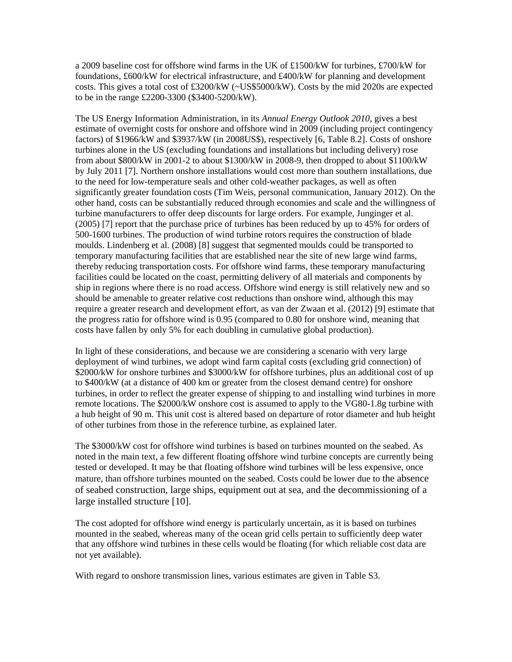a 2009 baseline cost for offshore wind farms in the UK of £1500/kW for turbines, £700/kW for foundations, £600/kW for electrical infrastructure, and £400/kW for planning and development costs. This gives a total cost of £3200/kW (~US\$5000/kW). Costs by the mid 2020s are expected to be in the range £2200-3300 (\$3400-5200/kW).

The US Energy Information Administration, in its *Annual Energy Outlook 2010*, gives a best estimate of overnight costs for onshore and offshore wind in 2009 (including project contingency factors) of \$1966/kW and \$3937/kW (in 2008US\$), respectively [6, Table 8.2]. Costs of onshore turbines alone in the US (excluding foundations and installations but including delivery) rose from about \$800/kW in 2001-2 to about \$1300/kW in 2008-9, then dropped to about \$1100/kW by July 2011 [7]. Northern onshore installations would cost more than southern installations, due to the need for low-temperature seals and other cold-weather packages, as well as often significantly greater foundation costs (Tim Weis, personal communication, January 2012). On the other hand, costs can be substantially reduced through economies and scale and the willingness of turbine manufacturers to offer deep discounts for large orders. For example, Junginger et al. (2005) [7] report that the purchase price of turbines has been reduced by up to 45% for orders of 500-1600 turbines. The production of wind turbine rotors requires the construction of blade moulds. Lindenberg et al. (2008) [8] suggest that segmented moulds could be transported to temporary manufacturing facilities that are established near the site of new large wind farms, thereby reducing transportation costs. For offshore wind farms, these temporary manufacturing facilities could be located on the coast, permitting delivery of all materials and components by ship in regions where there is no road access. Offshore wind energy is still relatively new and so should be amenable to greater relative cost reductions than onshore wind, although this may require a greater research and development effort, as van der Zwaan et al. (2012) [9] estimate that the progress ratio for offshore wind is 0.95 (compared to 0.80 for onshore wind, meaning that costs have fallen by only 5% for each doubling in cumulative global production).

In light of these considerations, and because we are considering a scenario with very large deployment of wind turbines, we adopt wind farm capital costs (excluding grid connection) of \$2000/kW for onshore turbines and \$3000/kW for offshore turbines, plus an additional cost of up to \$400/kW (at a distance of 400 km or greater from the closest demand centre) for onshore turbines, in order to reflect the greater expense of shipping to and installing wind turbines in more remote locations. The \$2000/kW onshore cost is assumed to apply to the VG80-1.8g turbine with a hub height of 90 m. This unit cost is altered based on departure of rotor diameter and hub height of other turbines from those in the reference turbine, as explained later.

The \$3000/kW cost for offshore wind turbines is based on turbines mounted on the seabed. As noted in the main text, a few different floating offshore wind turbine concepts are currently being tested or developed. It may be that floating offshore wind turbines will be less expensive, once mature, than offshore turbines mounted on the seabed. Costs could be lower due to the absence of seabed construction, large ships, equipment out at sea, and the decommissioning of a large installed structure [10].

The cost adopted for offshore wind energy is particularly uncertain, as it is based on turbines mounted in the seabed, whereas many of the ocean grid cells pertain to sufficiently deep water that any offshore wind turbines in these cells would be floating (for which reliable cost data are not yet available).

With regard to onshore transmission lines, various estimates are given in Table S3.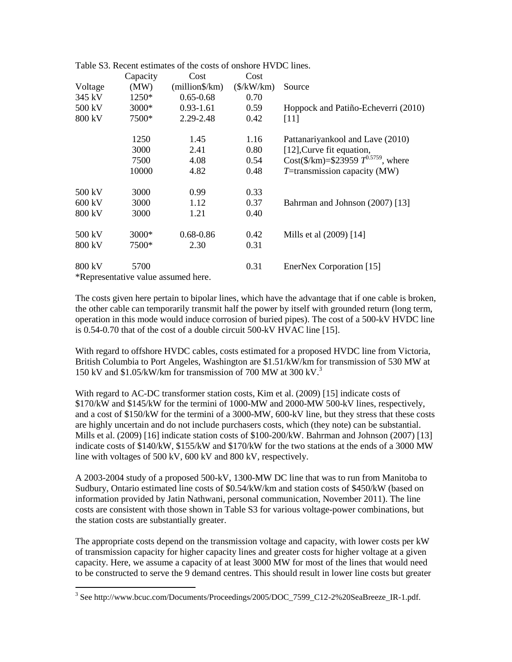|                  |                                       | aoic iss, incrent commates of the costs of onshore if $\bm{\nu}$ |                    |                                          |
|------------------|---------------------------------------|------------------------------------------------------------------|--------------------|------------------------------------------|
|                  | Capacity                              | Cost                                                             | Cost               |                                          |
| Voltage          | (MW)                                  | $(million$ /km $)$                                               | $(\frac{K}{W/km})$ | Source                                   |
| 345 kV           | $1250*$                               | $0.65 - 0.68$                                                    | 0.70               |                                          |
| 500 kV           | $3000*$                               | $0.93 - 1.61$                                                    | 0.59               | Hoppock and Patiño-Echeverri (2010)      |
| 800 kV           | 7500*                                 | 2.29-2.48                                                        | 0.42               | $[11]$                                   |
|                  | 1250                                  | 1.45                                                             | 1.16               | Pattanariyankool and Lave (2010)         |
|                  | 3000                                  | 2.41                                                             | 0.80               | [12], Curve fit equation,                |
|                  | 7500                                  | 4.08                                                             | 0.54               | Cost(\$/km)=\$23959 $T^{0.5759}$ , where |
|                  | 10000                                 | 4.82                                                             | 0.48               | $T =$ transmission capacity (MW)         |
| 500 kV           | 3000                                  | 0.99                                                             | 0.33               |                                          |
| $600 \text{ kV}$ | 3000                                  | 1.12                                                             | 0.37               | Bahrman and Johnson (2007) [13]          |
| 800 kV           | 3000                                  | 1.21                                                             | 0.40               |                                          |
| 500 kV           | 3000*                                 | 0.68-0.86                                                        | 0.42               | Mills et al (2009) [14]                  |
| 800 kV           | 7500*                                 | 2.30                                                             | 0.31               |                                          |
| 800 kV           | 5700                                  |                                                                  | 0.31               | EnerNex Corporation [15]                 |
|                  | $*D$ any contative value escumed have |                                                                  |                    |                                          |

Table S3. Recent estimates of the costs of onshore HVDC lines.

\*Representative value assumed here.

 $\overline{a}$ 

The costs given here pertain to bipolar lines, which have the advantage that if one cable is broken, the other cable can temporarily transmit half the power by itself with grounded return (long term, operation in this mode would induce corrosion of buried pipes). The cost of a 500-kV HVDC line is 0.54-0.70 that of the cost of a double circuit 500-kV HVAC line [15].

With regard to offshore HVDC cables, costs estimated for a proposed HVDC line from Victoria, British Columbia to Port Angeles, Washington are \$1.51/kW/km for transmission of 530 MW at 150 kV and  $1.05/kW/km$  for transmission of 700 MW at 300 kV.<sup>3</sup>

With regard to AC-DC transformer station costs, Kim et al. (2009) [15] indicate costs of \$170/kW and \$145/kW for the termini of 1000-MW and 2000-MW 500-kV lines, respectively, and a cost of \$150/kW for the termini of a 3000-MW, 600-kV line, but they stress that these costs are highly uncertain and do not include purchasers costs, which (they note) can be substantial. Mills et al. (2009) [16] indicate station costs of \$100-200/kW. Bahrman and Johnson (2007) [13] indicate costs of \$140/kW, \$155/kW and \$170/kW for the two stations at the ends of a 3000 MW line with voltages of 500 kV, 600 kV and 800 kV, respectively.

A 2003-2004 study of a proposed 500-kV, 1300-MW DC line that was to run from Manitoba to Sudbury, Ontario estimated line costs of \$0.54/kW/km and station costs of \$450/kW (based on information provided by Jatin Nathwani, personal communication, November 2011). The line costs are consistent with those shown in Table S3 for various voltage-power combinations, but the station costs are substantially greater.

The appropriate costs depend on the transmission voltage and capacity, with lower costs per kW of transmission capacity for higher capacity lines and greater costs for higher voltage at a given capacity. Here, we assume a capacity of at least 3000 MW for most of the lines that would need to be constructed to serve the 9 demand centres. This should result in lower line costs but greater

<sup>&</sup>lt;sup>3</sup> See http://www.bcuc.com/Documents/Proceedings/2005/DOC\_7599\_C12-2%20SeaBreeze\_IR-1.pdf.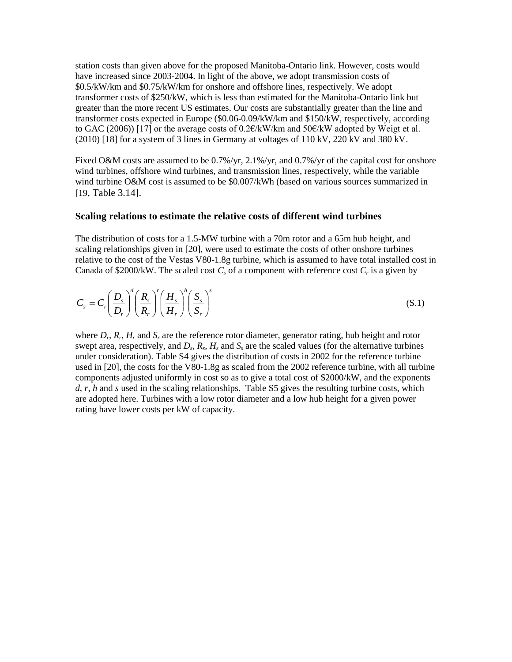station costs than given above for the proposed Manitoba-Ontario link. However, costs would have increased since 2003-2004. In light of the above, we adopt transmission costs of \$0.5/kW/km and \$0.75/kW/km for onshore and offshore lines, respectively. We adopt transformer costs of \$250/kW, which is less than estimated for the Manitoba-Ontario link but greater than the more recent US estimates. Our costs are substantially greater than the line and transformer costs expected in Europe (\$0.06-0.09/kW/km and \$150/kW, respectively, according to GAC (2006)) [17] or the average costs of 0.2€/kW/km and 50€/kW adopted by Weigt et al.  $(2010)$  [18] for a system of 3 lines in Germany at voltages of 110 kV, 220 kV and 380 kV.

Fixed O&M costs are assumed to be 0.7%/yr, 2.1%/yr, and 0.7%/yr of the capital cost for onshore wind turbines, offshore wind turbines, and transmission lines, respectively, while the variable wind turbine O&M cost is assumed to be \$0.007/kWh (based on various sources summarized in [19, Table 3.14].

# **Scaling relations to estimate the relative costs of different wind turbines**

The distribution of costs for a 1.5-MW turbine with a 70m rotor and a 65m hub height, and scaling relationships given in [20], were used to estimate the costs of other onshore turbines relative to the cost of the Vestas V80-1.8g turbine, which is assumed to have total installed cost in Canada of \$2000/kW. The scaled cost  $C_s$  of a component with reference cost  $C_r$  is a given by

$$
C_s = C_r \left(\frac{D_s}{D_r}\right)^d \left(\frac{R_s}{R_r}\right)^r \left(\frac{H_s}{H_r}\right)^h \left(\frac{S_s}{S_r}\right)^s
$$
\n(S.1)

where  $D_r$ ,  $R_r$ ,  $H_r$  and  $S_r$  are the reference rotor diameter, generator rating, hub height and rotor swept area, respectively, and  $D_s$ ,  $R_s$ ,  $H_s$  and  $S_s$  are the scaled values (for the alternative turbines under consideration). Table S4 gives the distribution of costs in 2002 for the reference turbine used in [20], the costs for the V80-1.8g as scaled from the 2002 reference turbine, with all turbine components adjusted uniformly in cost so as to give a total cost of \$2000/kW, and the exponents *d*, *r*, *h* and *s* used in the scaling relationships. Table S5 gives the resulting turbine costs, which are adopted here. Turbines with a low rotor diameter and a low hub height for a given power rating have lower costs per kW of capacity.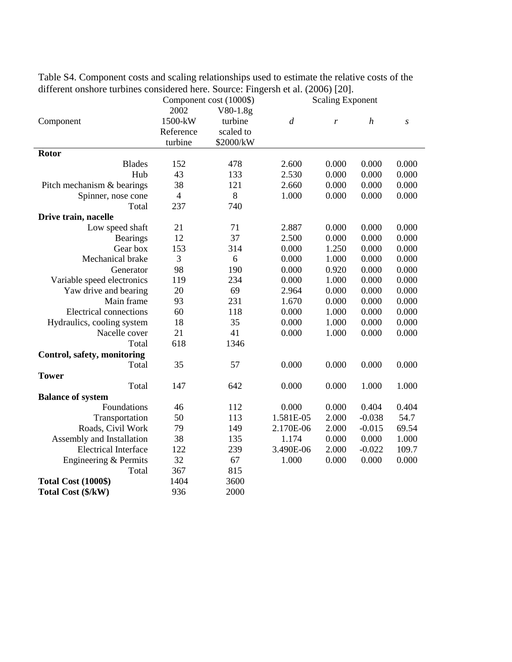|                               |                | Component cost (1000\$) |                | <b>Scaling Exponent</b> |                  |                  |
|-------------------------------|----------------|-------------------------|----------------|-------------------------|------------------|------------------|
|                               | 2002           | $V80-1.8g$              |                |                         |                  |                  |
| Component                     | 1500-kW        | turbine                 | $\overline{d}$ | r                       | $\boldsymbol{h}$ | $\boldsymbol{S}$ |
|                               | Reference      | scaled to               |                |                         |                  |                  |
|                               | turbine        | \$2000/kW               |                |                         |                  |                  |
| Rotor                         |                |                         |                |                         |                  |                  |
| <b>Blades</b>                 | 152            | 478                     | 2.600          | 0.000                   | 0.000            | 0.000            |
| Hub                           | 43             | 133                     | 2.530          | 0.000                   | 0.000            | 0.000            |
| Pitch mechanism & bearings    | 38             | 121                     | 2.660          | 0.000                   | 0.000            | 0.000            |
| Spinner, nose cone            | $\overline{4}$ | 8                       | 1.000          | 0.000                   | 0.000            | 0.000            |
| Total                         | 237            | 740                     |                |                         |                  |                  |
| Drive train, nacelle          |                |                         |                |                         |                  |                  |
| Low speed shaft               | 21             | 71                      | 2.887          | 0.000                   | 0.000            | 0.000            |
| <b>Bearings</b>               | 12             | 37                      | 2.500          | 0.000                   | 0.000            | 0.000            |
| Gear box                      | 153            | 314                     | 0.000          | 1.250                   | 0.000            | 0.000            |
| Mechanical brake              | 3              | 6                       | 0.000          | 1.000                   | 0.000            | 0.000            |
| Generator                     | 98             | 190                     | 0.000          | 0.920                   | 0.000            | 0.000            |
| Variable speed electronics    | 119            | 234                     | 0.000          | 1.000                   | 0.000            | 0.000            |
| Yaw drive and bearing         | 20             | 69                      | 2.964          | 0.000                   | 0.000            | 0.000            |
| Main frame                    | 93             | 231                     | 1.670          | 0.000                   | 0.000            | 0.000            |
| <b>Electrical connections</b> | 60             | 118                     | 0.000          | 1.000                   | 0.000            | 0.000            |
| Hydraulics, cooling system    | 18             | 35                      | 0.000          | 1.000                   | 0.000            | 0.000            |
| Nacelle cover                 | 21             | 41                      | 0.000          | 1.000                   | 0.000            | 0.000            |
| Total                         | 618            | 1346                    |                |                         |                  |                  |
| Control, safety, monitoring   |                |                         |                |                         |                  |                  |
| Total                         | 35             | 57                      | 0.000          | 0.000                   | 0.000            | 0.000            |
| <b>Tower</b>                  |                |                         |                |                         |                  |                  |
| Total                         | 147            | 642                     | 0.000          | 0.000                   | 1.000            | 1.000            |
| <b>Balance of system</b>      |                |                         |                |                         |                  |                  |
| Foundations                   | 46             | 112                     | 0.000          | 0.000                   | 0.404            | 0.404            |
| Transportation                | 50             | 113                     | 1.581E-05      | 2.000                   | $-0.038$         | 54.7             |
| Roads, Civil Work             | 79             | 149                     | 2.170E-06      | 2.000                   | $-0.015$         | 69.54            |
| Assembly and Installation     | 38             | 135                     | 1.174          | 0.000                   | 0.000            | 1.000            |
| <b>Electrical Interface</b>   | 122            | 239                     | 3.490E-06      | 2.000                   | $-0.022$         | 109.7            |
| Engineering & Permits         | 32             | 67                      | 1.000          | 0.000                   | 0.000            | 0.000            |
| Total                         | 367            | 815                     |                |                         |                  |                  |
| <b>Total Cost (1000\$)</b>    | 1404           | 3600                    |                |                         |                  |                  |
| Total Cost (\$/kW)            | 936            | 2000                    |                |                         |                  |                  |

Table S4. Component costs and scaling relationships used to estimate the relative costs of the different onshore turbines considered here. Source: Fingersh et al. (2006) [20].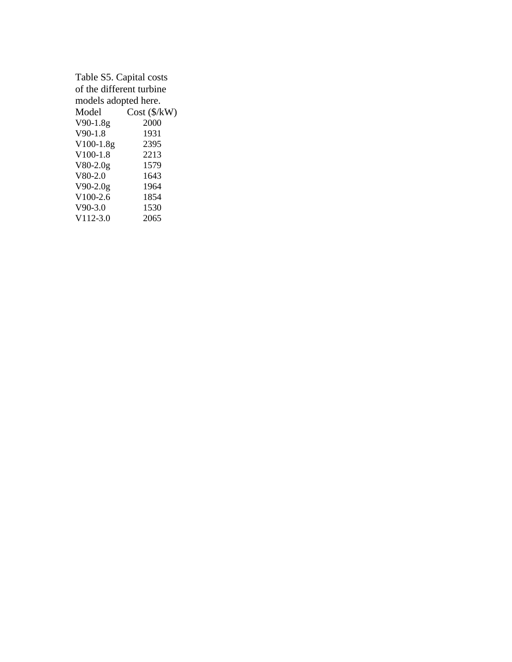| Table S5. Capital costs  |                          |  |  |  |
|--------------------------|--------------------------|--|--|--|
| of the different turbine |                          |  |  |  |
| models adopted here.     |                          |  |  |  |
| Model                    | $Cost$ ( $\frac{K}{W}$ ) |  |  |  |
| $V90-1.8g$               | 2000                     |  |  |  |
| $V90-1.8$                | 1931                     |  |  |  |
| $V100-1.8g$              | 2395                     |  |  |  |
| $V100-1.8$               | 2213                     |  |  |  |
| $V80-2.0g$               | 1579                     |  |  |  |
| $V80-2.0$                | 1643                     |  |  |  |
| $V90-2.0g$               | 1964                     |  |  |  |
| $V100-2.6$               | 1854                     |  |  |  |
| $V90-3.0$                | 1530                     |  |  |  |
| $V112-3.0$               | 2065                     |  |  |  |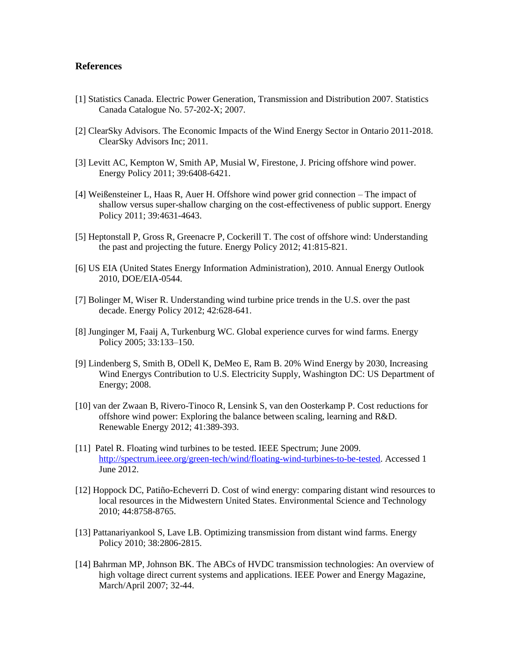# **References**

- [1] Statistics Canada. Electric Power Generation, Transmission and Distribution 2007. Statistics Canada Catalogue No. 57-202-X; 2007.
- [2] ClearSky Advisors. The Economic Impacts of the Wind Energy Sector in Ontario 2011-2018. ClearSky Advisors Inc; 2011.
- [3] Levitt AC, Kempton W, Smith AP, Musial W, Firestone, J. Pricing offshore wind power. Energy Policy 2011; 39:6408-6421.
- [4] Weißensteiner L, Haas R, Auer H. Offshore wind power grid connection The impact of shallow versus super-shallow charging on the cost-effectiveness of public support. Energy Policy 2011; 39:4631-4643.
- [5] Heptonstall P, Gross R, Greenacre P, Cockerill T. The cost of offshore wind: Understanding the past and projecting the future. Energy Policy 2012; 41:815-821.
- [6] US EIA (United States Energy Information Administration), 2010. Annual Energy Outlook 2010, DOE/EIA-0544.
- [7] Bolinger M, Wiser R. Understanding wind turbine price trends in the U.S. over the past decade. Energy Policy 2012; 42:628-641.
- [8] Junginger M, Faaij A, Turkenburg WC. Global experience curves for wind farms. Energy Policy 2005; 33:133–150.
- [9] Lindenberg S, Smith B, ODell K, DeMeo E, Ram B. 20% Wind Energy by 2030, Increasing Wind Energys Contribution to U.S. Electricity Supply, Washington DC: US Department of Energy; 2008.
- [10] van der Zwaan B, Rivero-Tinoco R, Lensink S, van den Oosterkamp P. Cost reductions for offshore wind power: Exploring the balance between scaling, learning and R&D. Renewable Energy 2012; 41:389-393.
- [11] Patel R. Floating wind turbines to be tested. IEEE Spectrum; June 2009. [http://spectrum.ieee.org/green-tech/wind/floating-wind-turbines-to-be-tested.](http://spectrum.ieee.org/green-tech/wind/floating-wind-turbines-to-be-tested) Accessed 1 June 2012.
- [12] Hoppock DC, Patiño-Echeverri D. Cost of wind energy: comparing distant wind resources to local resources in the Midwestern United States. Environmental Science and Technology 2010; 44:8758-8765.
- [13] Pattanariyankool S, Lave LB. Optimizing transmission from distant wind farms. Energy Policy 2010; 38:2806-2815.
- [14] Bahrman MP, Johnson BK. The ABCs of HVDC transmission technologies: An overview of high voltage direct current systems and applications. IEEE Power and Energy Magazine, March/April 2007; 32-44.